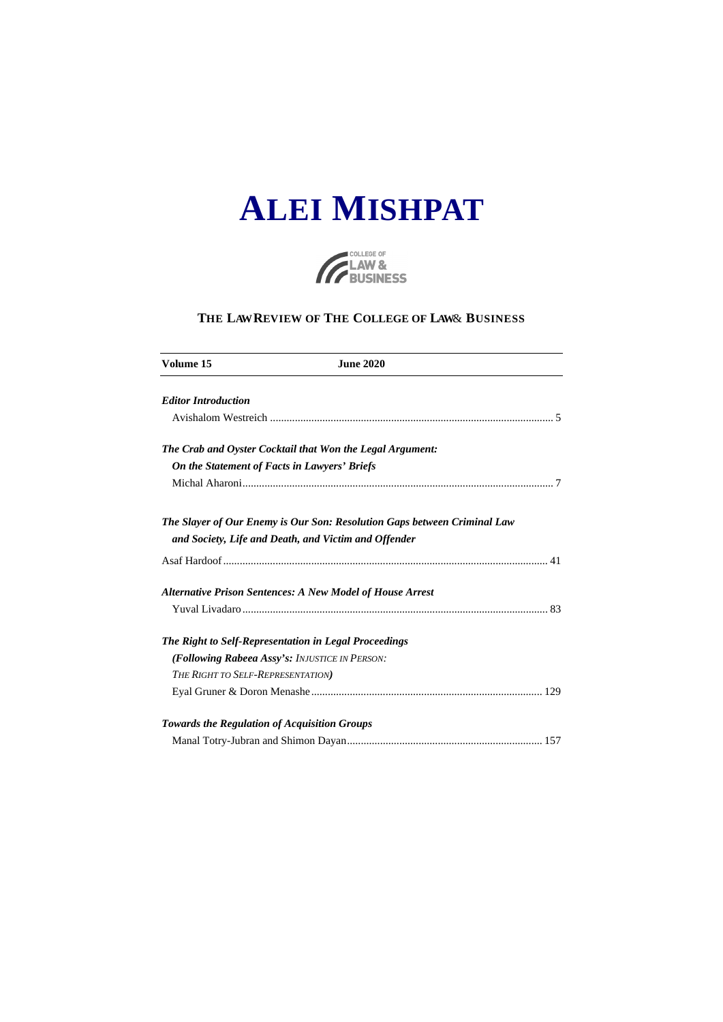



### THE LAW REVIEW OF THE COLLEGE OF LAW & BUSINESS

| Volume 15                         | <b>June 2020</b>                                                         |  |
|-----------------------------------|--------------------------------------------------------------------------|--|
| <b>Editor Introduction</b>        |                                                                          |  |
|                                   |                                                                          |  |
|                                   | The Crab and Oyster Cocktail that Won the Legal Argument:                |  |
|                                   | On the Statement of Facts in Lawyers' Briefs                             |  |
|                                   |                                                                          |  |
|                                   | The Slayer of Our Enemy is Our Son: Resolution Gaps between Criminal Law |  |
|                                   | and Society, Life and Death, and Victim and Offender                     |  |
|                                   |                                                                          |  |
|                                   | <b>Alternative Prison Sentences: A New Model of House Arrest</b>         |  |
|                                   |                                                                          |  |
|                                   | The Right to Self-Representation in Legal Proceedings                    |  |
|                                   | (Following Rabeea Assy's: INJUSTICE IN PERSON:                           |  |
| THE RIGHT TO SELF-REPRESENTATION) |                                                                          |  |
|                                   |                                                                          |  |
|                                   | <b>Towards the Regulation of Acquisition Groups</b>                      |  |
|                                   |                                                                          |  |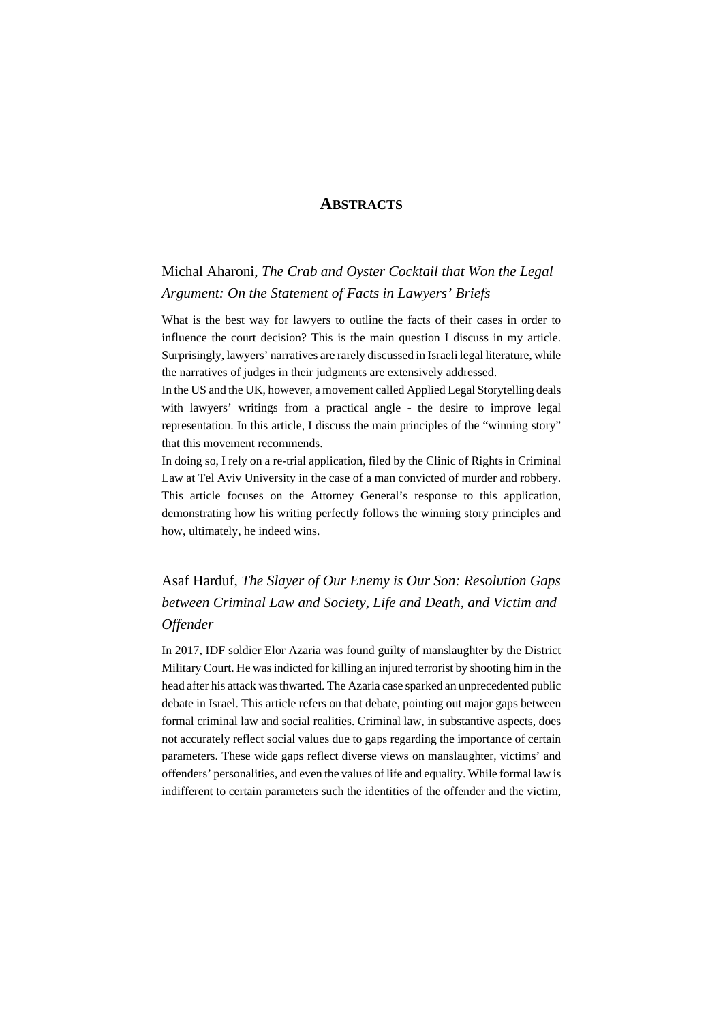### **ABSTRACTS**

## Michal Aharoni, *The Crab and Oyster Cocktail that Won the Legal Argument: On the Statement of Facts in Lawyers' Briefs*

What is the best way for lawyers to outline the facts of their cases in order to influence the court decision? This is the main question I discuss in my article. Surprisingly, lawyers' narratives are rarely discussed in Israeli legal literature, while the narratives of judges in their judgments are extensively addressed.

In the US and the UK, however, a movement called Applied Legal Storytelling deals with lawyers' writings from a practical angle - the desire to improve legal representation. In this article, I discuss the main principles of the "winning story" that this movement recommends.

In doing so, I rely on a re-trial application, filed by the Clinic of Rights in Criminal Law at Tel Aviv University in the case of a man convicted of murder and robbery. This article focuses on the Attorney General's response to this application, demonstrating how his writing perfectly follows the winning story principles and how, ultimately, he indeed wins.

# Asaf Harduf, *The Slayer of Our Enemy is Our Son: Resolution Gaps between Criminal Law and Society, Life and Death, and Victim and Offender*

In 2017, IDF soldier Elor Azaria was found guilty of manslaughter by the District Military Court. He was indicted for killing an injured terrorist by shooting him in the head after his attack was thwarted. The Azaria case sparked an unprecedented public debate in Israel. This article refers on that debate, pointing out major gaps between formal criminal law and social realities. Criminal law, in substantive aspects, does not accurately reflect social values due to gaps regarding the importance of certain parameters. These wide gaps reflect diverse views on manslaughter, victims' and offenders' personalities, and even the values of life and equality. While formal law is indifferent to certain parameters such the identities of the offender and the victim,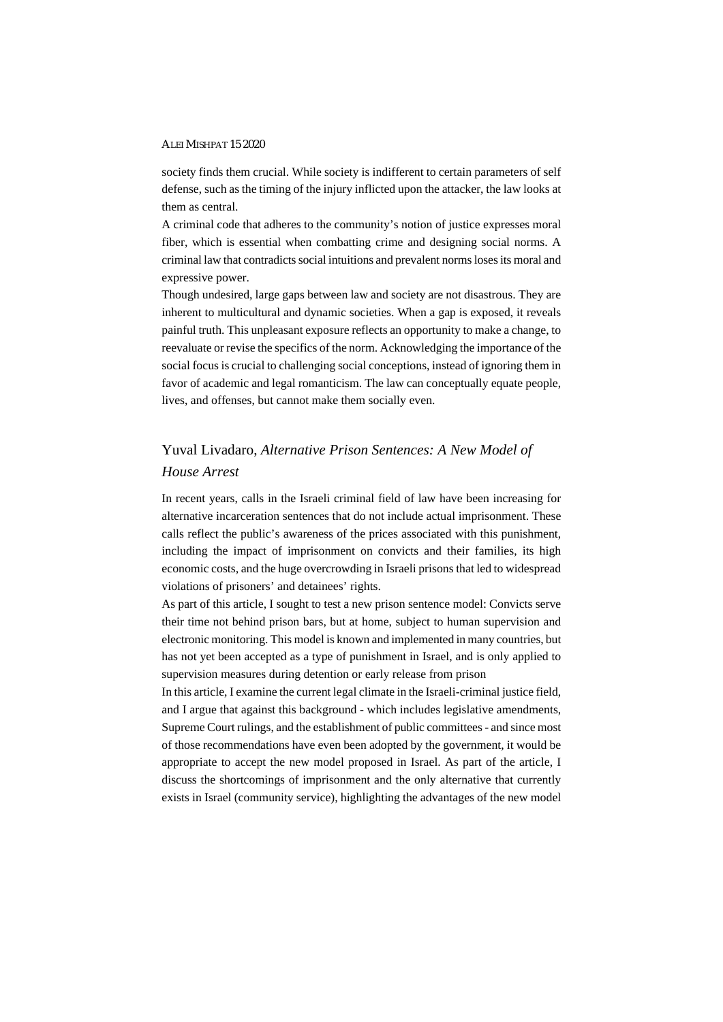#### ALEI MISHPAT 15 2020

society finds them crucial. While society is indifferent to certain parameters of self defense, such as the timing of the injury inflicted upon the attacker, the law looks at them as central.

A criminal code that adheres to the community's notion of justice expresses moral fiber, which is essential when combatting crime and designing social norms. A criminal law that contradicts social intuitions and prevalent norms loses its moral and expressive power.

Though undesired, large gaps between law and society are not disastrous. They are inherent to multicultural and dynamic societies. When a gap is exposed, it reveals painful truth. This unpleasant exposure reflects an opportunity to make a change, to reevaluate or revise the specifics of the norm. Acknowledging the importance of the social focus is crucial to challenging social conceptions, instead of ignoring them in favor of academic and legal romanticism. The law can conceptually equate people, lives, and offenses, but cannot make them socially even.

## Yuval Livadaro, *Alternative Prison Sentences: A New Model of House Arrest*

In recent years, calls in the Israeli criminal field of law have been increasing for alternative incarceration sentences that do not include actual imprisonment. These calls reflect the public's awareness of the prices associated with this punishment, including the impact of imprisonment on convicts and their families, its high economic costs, and the huge overcrowding in Israeli prisons that led to widespread violations of prisoners' and detainees' rights.

 As part of this article, I sought to test a new prison sentence model: Convicts serve their time not behind prison bars, but at home, subject to human supervision and electronic monitoring. This model is known and implemented in many countries, but has not yet been accepted as a type of punishment in Israel, and is only applied to supervision measures during detention or early release from prison

 In this article, I examine the current legal climate in the Israeli-criminal justice field, and I argue that against this background - which includes legislative amendments, Supreme Court rulings, and the establishment of public committees - and since most of those recommendations have even been adopted by the government, it would be appropriate to accept the new model proposed in Israel. As part of the article, I discuss the shortcomings of imprisonment and the only alternative that currently exists in Israel (community service), highlighting the advantages of the new model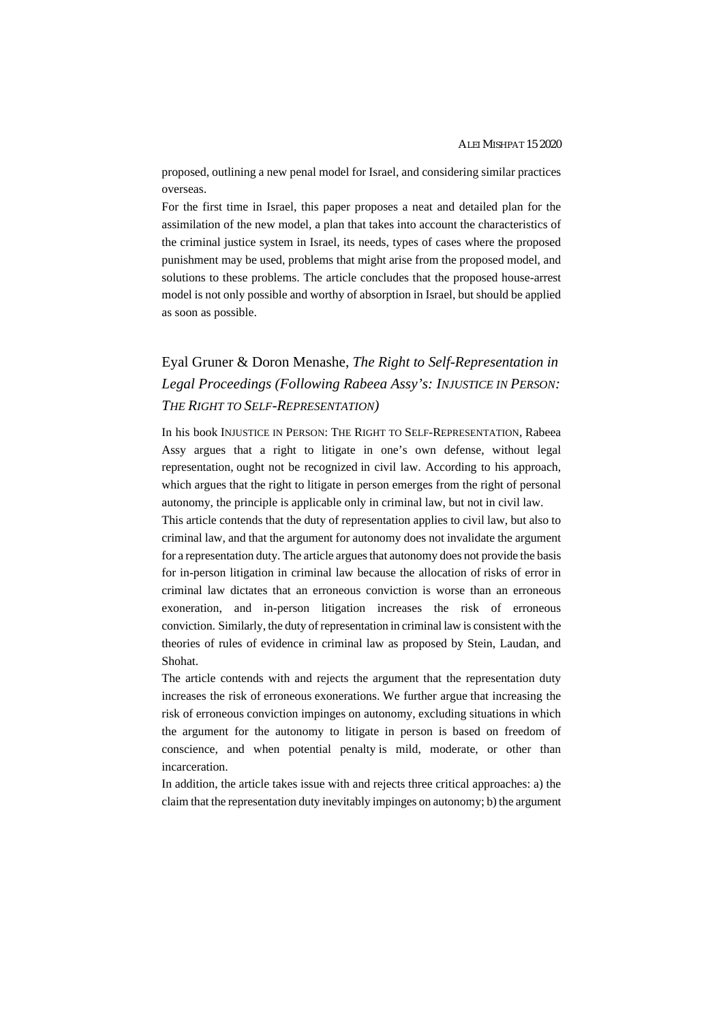proposed, outlining a new penal model for Israel, and considering similar practices overseas.

 For the first time in Israel, this paper proposes a neat and detailed plan for the assimilation of the new model, a plan that takes into account the characteristics of the criminal justice system in Israel, its needs, types of cases where the proposed punishment may be used, problems that might arise from the proposed model, and solutions to these problems. The article concludes that the proposed house-arrest model is not only possible and worthy of absorption in Israel, but should be applied as soon as possible.

## Eyal Gruner & Doron Menashe, *The Right to Self-Representation in Legal Proceedings (Following Rabeea Assy's: INJUSTICE IN PERSON: THE RIGHT TO SELF-REPRESENTATION)*

In his book INJUSTICE IN PERSON: THE RIGHT TO SELF-REPRESENTATION, Rabeea Assy argues that a right to litigate in one's own defense, without legal representation, ought not be recognized in civil law. According to his approach, which argues that the right to litigate in person emerges from the right of personal autonomy, the principle is applicable only in criminal law, but not in civil law.

This article contends that the duty of representation applies to civil law, but also to criminal law, and that the argument for autonomy does not invalidate the argument for a representation duty. The article argues that autonomy does not provide the basis for in-person litigation in criminal law because the allocation of risks of error in criminal law dictates that an erroneous conviction is worse than an erroneous exoneration, and in-person litigation increases the risk of erroneous conviction. Similarly, the duty of representation in criminal law is consistent with the theories of rules of evidence in criminal law as proposed by Stein, Laudan, and Shohat.

The article contends with and rejects the argument that the representation duty increases the risk of erroneous exonerations. We further argue that increasing the risk of erroneous conviction impinges on autonomy, excluding situations in which the argument for the autonomy to litigate in person is based on freedom of conscience, and when potential penalty is mild, moderate, or other than incarceration.

In addition, the article takes issue with and rejects three critical approaches: a) the claim that the representation duty inevitably impinges on autonomy; b) the argument